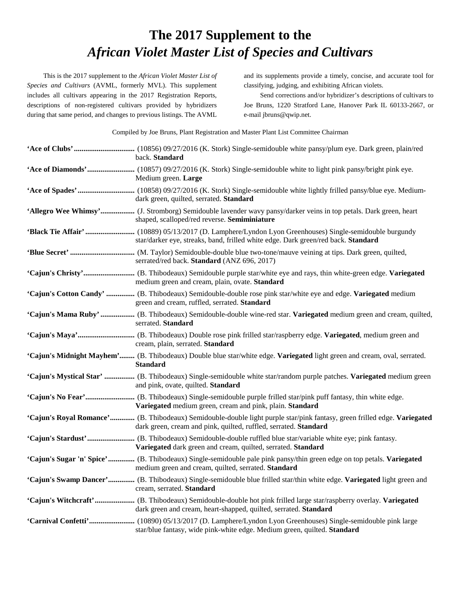## **The 2017 Supplement to the**  *African Violet Master List of Species and Cultivars*

This is the 2017 supplement to the *African Violet Master List of Species and Cultivars* (AVML, formerly MVL). This supplement includes all cultivars appearing in the 2017 Registration Reports, descriptions of non-registered cultivars provided by hybridizers during that same period, and changes to previous listings. The AVML and its supplements provide a timely, concise, and accurate tool for classifying, judging, and exhibiting African violets.

Send corrections and/or hybridizer's descriptions of cultivars to Joe Bruns, 1220 Stratford Lane, Hanover Park IL 60133-2667, or e-mail jbruns@qwip.net.

Compiled by Joe Bruns, Plant Registration and Master Plant List Committee Chairman

| back. Standard                                                                                                                                                                               |
|----------------------------------------------------------------------------------------------------------------------------------------------------------------------------------------------|
| Medium green. Large                                                                                                                                                                          |
| dark green, quilted, serrated. Standard                                                                                                                                                      |
| 'Allegro Wee Whimsy' (J. Stromborg) Semidouble lavender wavy pansy/darker veins in top petals. Dark green, heart<br>shaped, scalloped/red reverse. Semiminiature                             |
| star/darker eye, streaks, band, frilled white edge. Dark green/red back. Standard                                                                                                            |
| serrated/red back. Standard (ANZ 696, 2017)                                                                                                                                                  |
| medium green and cream, plain, ovate. Standard                                                                                                                                               |
| 'Cajun's Cotton Candy'  (B. Thibodeaux) Semidouble-double rose pink star/white eye and edge. Variegated medium<br>green and cream, ruffled, serrated. Standard                               |
| 'Cajun's Mama Ruby'  (B. Thibodeaux) Semidouble-double wine-red star. Variegated medium green and cream, quilted,<br>serrated. Standard                                                      |
| cream, plain, serrated. Standard                                                                                                                                                             |
| 'Cajun's Midnight Mayhem' (B. Thibodeaux) Double blue star/white edge. Variegated light green and cream, oval, serrated.<br><b>Standard</b>                                                  |
| 'Cajun's Mystical Star'  (B. Thibodeaux) Single-semidouble white star/random purple patches. Variegated medium green<br>and pink, ovate, quilted. Standard                                   |
| 'Cajun's No Fear' (B. Thibodeaux) Single-semidouble purple frilled star/pink puff fantasy, thin white edge.<br>Variegated medium green, cream and pink, plain. Standard                      |
| 'Cajun's Royal Romance' (B. Thibodeaux) Semidouble-double light purple star/pink fantasy, green frilled edge. Variegated<br>dark green, cream and pink, quilted, ruffled, serrated. Standard |
| Variegated dark green and cream, quilted, serrated. Standard                                                                                                                                 |
| 'Cajun's Sugar 'n' Spice' (B. Thibodeaux) Single-semidouble pale pink pansy/thin green edge on top petals. Variegated<br>medium green and cream, quilted, serrated. Standard                 |
| 'Cajun's Swamp Dancer' (B. Thibodeaux) Single-semidouble blue frilled star/thin white edge. Variegated light green and<br>cream, serrated. Standard                                          |
| 'Cajun's Witchcraft' (B. Thibodeaux) Semidouble-double hot pink frilled large star/raspberry overlay. Variegated<br>dark green and cream, heart-shapped, quilted, serrated. Standard         |
| star/blue fantasy, wide pink-white edge. Medium green, quilted. Standard                                                                                                                     |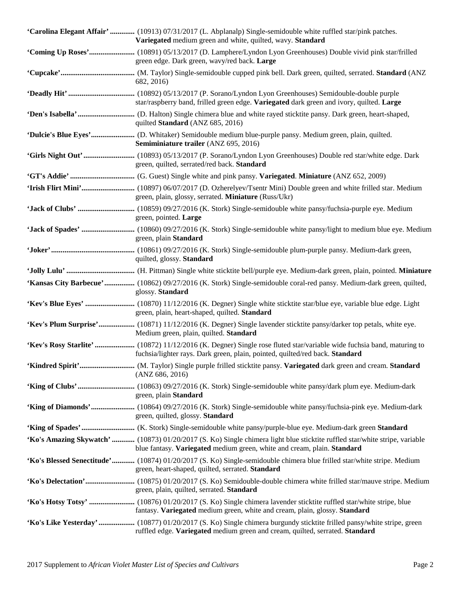| 'Carolina Elegant Affair'  (10913) 07/31/2017 (L. Abplanalp) Single-semidouble white ruffled star/pink patches.<br>Variegated medium green and white, quilted, wavy. Standard                         |
|-------------------------------------------------------------------------------------------------------------------------------------------------------------------------------------------------------|
| 'Coming Up Roses' (10891) 05/13/2017 (D. Lamphere/Lyndon Lyon Greenhouses) Double vivid pink star/frilled<br>green edge. Dark green, wavy/red back. Large                                             |
| 682, 2016)                                                                                                                                                                                            |
| star/raspberry band, frilled green edge. Variegated dark green and ivory, quilted. Large                                                                                                              |
| quilted Standard (ANZ 685, 2016)                                                                                                                                                                      |
| 'Dulcie's Blue Eyes' (D. Whitaker) Semidouble medium blue-purple pansy. Medium green, plain, quilted.<br>Semiminiature trailer (ANZ 695, 2016)                                                        |
| green, quilted, serrated/red back. Standard                                                                                                                                                           |
|                                                                                                                                                                                                       |
| green, plain, glossy, serrated. Miniature (Russ/Ukr)                                                                                                                                                  |
| green, pointed. Large                                                                                                                                                                                 |
| green, plain Standard                                                                                                                                                                                 |
| quilted, glossy. Standard                                                                                                                                                                             |
|                                                                                                                                                                                                       |
| 'Kansas City Barbecue' (10862) 09/27/2016 (K. Stork) Single-semidouble coral-red pansy. Medium-dark green, quilted,<br>glossy. Standard                                                               |
| green, plain, heart-shaped, quilted. Standard                                                                                                                                                         |
| 'Kev's Plum Surprise' (10871) 11/12/2016 (K. Degner) Single lavender sticktite pansy/darker top petals, white eye.<br>Medium green, plain, quilted. Standard                                          |
| fuchsia/lighter rays. Dark green, plain, pointed, quilted/red back. Standard                                                                                                                          |
| (ANZ 686, 2016)                                                                                                                                                                                       |
| green, plain Standard                                                                                                                                                                                 |
| green, quilted, glossy. Standard                                                                                                                                                                      |
|                                                                                                                                                                                                       |
| Ko's Amazing Skywatch'  (10873) 01/20/2017 (S. Ko) Single chimera light blue sticktite ruffled star/white stripe, variable<br>blue fantasy. Variegated medium green, white and cream, plain. Standard |
| 'Ko's Blessed Senectitude' (10874) 01/20/2017 (S. Ko) Single-semidouble chimera blue frilled star/white stripe. Medium<br>green, heart-shaped, quilted, serrated. Standard                            |
| green, plain, quilted, serrated. Standard                                                                                                                                                             |
| fantasy. Variegated medium green, white and cream, plain, glossy. Standard                                                                                                                            |
| ruffled edge. Variegated medium green and cream, quilted, serrated. Standard                                                                                                                          |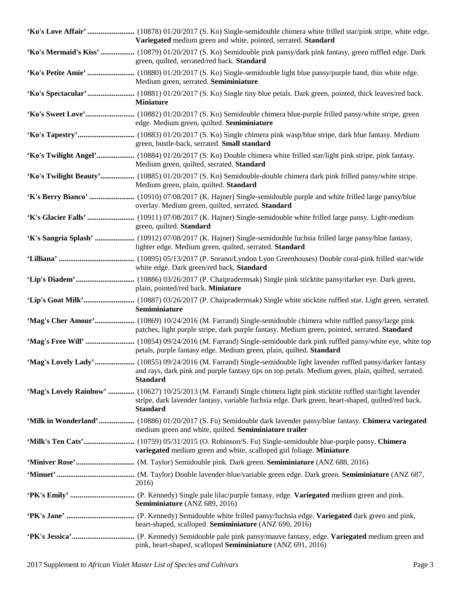| Variegated medium green and white, pointed, serrated. Standard                                                                                                                                                                                  |
|-------------------------------------------------------------------------------------------------------------------------------------------------------------------------------------------------------------------------------------------------|
| 'Ko's Mermaid's Kiss'  (10879) 01/20/2017 (S. Ko) Semidouble pink pansy/dark pink fantasy, green ruffled edge. Dark<br>green, quilted, serrated/red back. Standard                                                                              |
| Medium green, serrated. Semiminiature                                                                                                                                                                                                           |
| <b>Miniature</b>                                                                                                                                                                                                                                |
| edge. Medium green, quilted. Semiminiature                                                                                                                                                                                                      |
| green, bustle-back, serrated. Small standard                                                                                                                                                                                                    |
| 'Ko's Twilight Angel' (10884) 01/20/2017 (S. Ko) Double chimera white frilled star/light pink stripe, pink fantasy.<br>Medium green, quilted, serrated. Standard                                                                                |
| 'Ko's Twilight Beauty' (10885) 01/20/2017 (S. Ko) Semidouble-double chimera dark pink frilled pansy/white stripe.<br>Medium green, plain, quilted. Standard                                                                                     |
| overlay. Medium green, quilted, serrated. Standard                                                                                                                                                                                              |
| green, quilted. Standard                                                                                                                                                                                                                        |
| lighter edge. Medium green, quilted, serrated. Standard                                                                                                                                                                                         |
| white edge. Dark green/red back. Standard                                                                                                                                                                                                       |
| plain, pointed/red back. Miniature                                                                                                                                                                                                              |
| Semiminiature                                                                                                                                                                                                                                   |
| patches, light purple stripe, dark purple fantasy. Medium green, pointed, serrated. Standard                                                                                                                                                    |
| petals, purple fantasy edge. Medium green, plain, quilted. Standard                                                                                                                                                                             |
| and rays, dark pink and purple fantasy tips on top petals. Medium green, plain, quilted, serrated.<br><b>Standard</b>                                                                                                                           |
| 'Mag's Lovely Rainbow'  (10627) 10/25/2013 (M. Farrand) Single chimera light pink sticktite ruffled star/light lavender<br>stripe, dark lavender fantasy, variable fuchsia edge. Dark green, heart-shaped, quilted/red back.<br><b>Standard</b> |
| 'Milk in Wonderland' (10886) 01/20/2017 (S. Fu) Semidouble dark lavender pansy/blue fantasy. Chimera variegated<br>medium green and white, quilted. Semiminiature trailer                                                                       |
| variegated medium green and white, scalloped girl foliage. Miniature                                                                                                                                                                            |
|                                                                                                                                                                                                                                                 |
| 2016)                                                                                                                                                                                                                                           |
| Semiminiature (ANZ 689, 2016)                                                                                                                                                                                                                   |
| heart-shaped, scalloped. Semiminiature (ANZ 690, 2016)                                                                                                                                                                                          |
| pink, heart-shaped, scalloped Semiminiature (ANZ 691, 2016)                                                                                                                                                                                     |